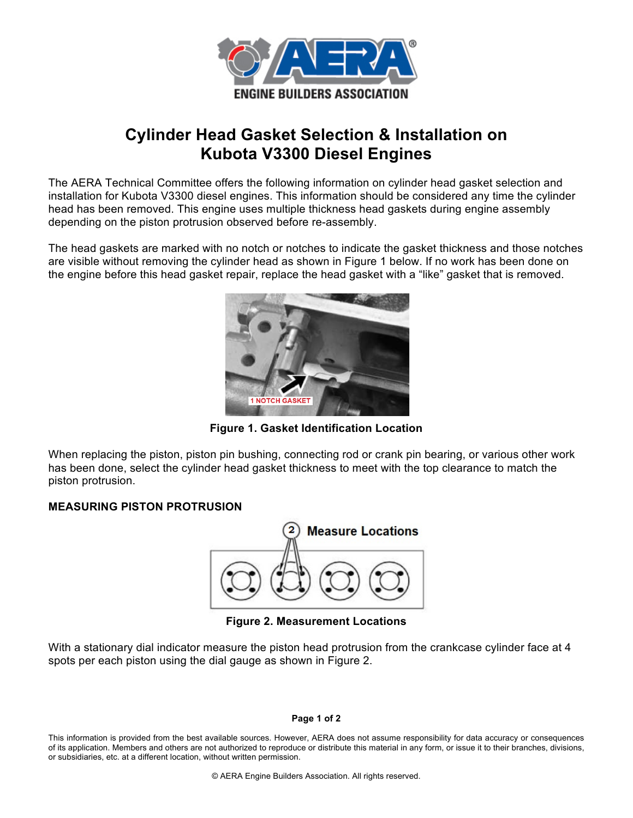

## **Cylinder Head Gasket Selection & Installation on Kubota V3300 Diesel Engines**

The AERA Technical Committee offers the following information on cylinder head gasket selection and installation for Kubota V3300 diesel engines. This information should be considered any time the cylinder head has been removed. This engine uses multiple thickness head gaskets during engine assembly depending on the piston protrusion observed before re-assembly.

The head gaskets are marked with no notch or notches to indicate the gasket thickness and those notches are visible without removing the cylinder head as shown in Figure 1 below. If no work has been done on the engine before this head gasket repair, replace the head gasket with a "like" gasket that is removed.



**Figure 1. Gasket Identification Location**

When replacing the piston, piston pin bushing, connecting rod or crank pin bearing, or various other work has been done, select the cylinder head gasket thickness to meet with the top clearance to match the piston protrusion.

## **MEASURING PISTON PROTRUSION**



**Figure 2. Measurement Locations**

With a stationary dial indicator measure the piston head protrusion from the crankcase cylinder face at 4 spots per each piston using the dial gauge as shown in Figure 2.

## **Page 1 of 2**

This information is provided from the best available sources. However, AERA does not assume responsibility for data accuracy or consequences of its application. Members and others are not authorized to reproduce or distribute this material in any form, or issue it to their branches, divisions, or subsidiaries, etc. at a different location, without written permission.